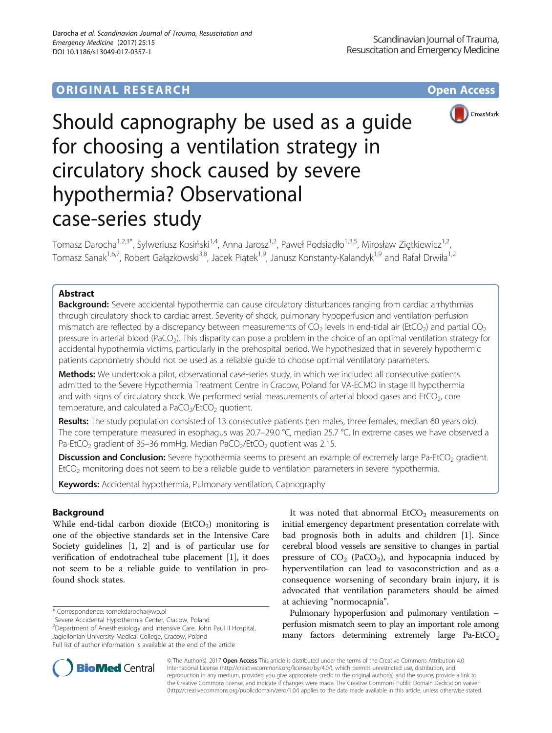# **ORIGINAL RESEARCH CONSUMING ACCESS**



# Should capnography be used as a guide for choosing a ventilation strategy in circulatory shock caused by severe hypothermia? Observational case-series study

Tomasz Darocha<sup>1,2,3\*</sup>, Sylweriusz Kosiński<sup>1,4</sup>, Anna Jarosz<sup>1,2</sup>, Paweł Podsiadło<sup>1,3,5</sup>, Mirosław Ziętkiewicz<sup>1,2</sup>, Tomasz Sanak<sup>1,6,7</sup>, Robert Gałązkowski<sup>3,8</sup>, Jacek Piątek<sup>1,9</sup>, Janusz Konstanty-Kalandyk<sup>1,9</sup> and Rafał Drwiła<sup>1,2</sup>

# Abstract

**Background:** Severe accidental hypothermia can cause circulatory disturbances ranging from cardiac arrhythmias through circulatory shock to cardiac arrest. Severity of shock, pulmonary hypoperfusion and ventilation-perfusion mismatch are reflected by a discrepancy between measurements of  $CO<sub>2</sub>$  levels in end-tidal air (EtCO<sub>2</sub>) and partial CO<sub>2</sub> pressure in arterial blood (PaCO<sub>2</sub>). This disparity can pose a problem in the choice of an optimal ventilation strategy for accidental hypothermia victims, particularly in the prehospital period. We hypothesized that in severely hypothermic patients capnometry should not be used as a reliable guide to choose optimal ventilatory parameters.

Methods: We undertook a pilot, observational case-series study, in which we included all consecutive patients admitted to the Severe Hypothermia Treatment Centre in Cracow, Poland for VA-ECMO in stage III hypothermia and with signs of circulatory shock. We performed serial measurements of arterial blood gases and EtCO $_2$ , core temperature, and calculated a  $PaCO<sub>2</sub>/EtCO<sub>2</sub>$  quotient.

Results: The study population consisted of 13 consecutive patients (ten males, three females, median 60 years old). The core temperature measured in esophagus was 20.7–29.0 °C, median 25.7 °C. In extreme cases we have observed a Pa-EtCO<sub>2</sub> gradient of 35-36 mmHg. Median PaCO<sub>2</sub>/EtCO<sub>2</sub> quotient was 2.15.

**Discussion and Conclusion:** Severe hypothermia seems to present an example of extremely large Pa-EtCO<sub>2</sub> gradient. EtCO<sub>2</sub> monitoring does not seem to be a reliable guide to ventilation parameters in severe hypothermia.

Keywords: Accidental hypothermia, Pulmonary ventilation, Capnography

# Background

While end-tidal carbon dioxide  $(EtCO<sub>2</sub>)$  monitoring is one of the objective standards set in the Intensive Care Society guidelines [\[1](#page-3-0), [2](#page-3-0)] and is of particular use for verification of endotracheal tube placement [[1](#page-3-0)], it does not seem to be a reliable guide to ventilation in profound shock states.

<sup>1</sup>Severe Accidental Hypothermia Center, Cracow, Poland

<sup>2</sup>Department of Anesthesiology and Intensive Care, John Paul II Hospital, Jagiellonian University Medical College, Cracow, Poland Full list of author information is available at the end of the article

Pulmonary hypoperfusion and pulmonary ventilation – perfusion mismatch seem to play an important role among many factors determining extremely large  $Pa\text{-EtCO}_2$ 



© The Author(s). 2017 Open Access This article is distributed under the terms of the Creative Commons Attribution 4.0 International License [\(http://creativecommons.org/licenses/by/4.0/](http://creativecommons.org/licenses/by/4.0/)), which permits unrestricted use, distribution, and reproduction in any medium, provided you give appropriate credit to the original author(s) and the source, provide a link to the Creative Commons license, and indicate if changes were made. The Creative Commons Public Domain Dedication waiver [\(http://creativecommons.org/publicdomain/zero/1.0/](http://creativecommons.org/publicdomain/zero/1.0/)) applies to the data made available in this article, unless otherwise stated.

<sup>\*</sup> Correspondence: [tomekdarocha@wp.pl](mailto:tomekdarocha@wp.pl) <sup>1</sup>

It was noted that abnormal  $EtCO<sub>2</sub>$  measurements on initial emergency department presentation correlate with bad prognosis both in adults and children [\[1\]](#page-3-0). Since cerebral blood vessels are sensitive to changes in partial pressure of  $CO<sub>2</sub>$  (PaCO<sub>2</sub>), and hypocapnia induced by hyperventilation can lead to vasoconstriction and as a consequence worsening of secondary brain injury, it is advocated that ventilation parameters should be aimed at achieving "normocapnia".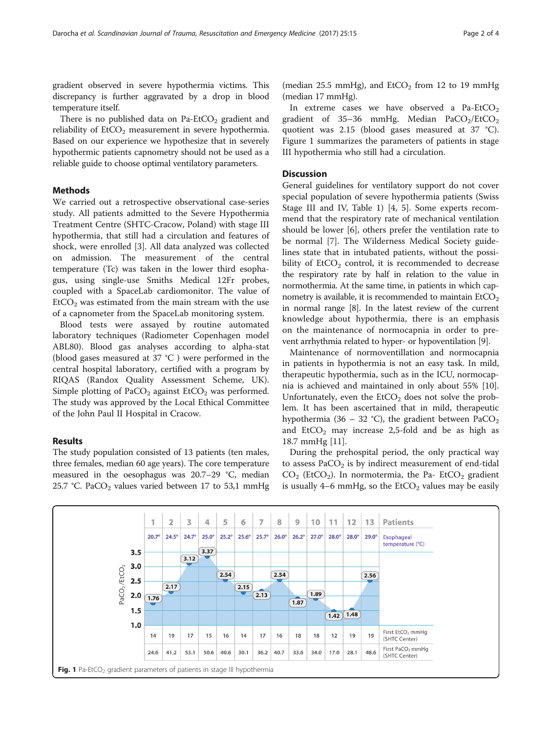<span id="page-1-0"></span>gradient observed in severe hypothermia victims. This discrepancy is further aggravated by a drop in blood temperature itself.

There is no published data on Pa-EtCO<sub>2</sub> gradient and reliability of  $ECO<sub>2</sub>$  measurement in severe hypothermia. Based on our experience we hypothesize that in severely hypothermic patients capnometry should not be used as a reliable guide to choose optimal ventilatory parameters.

# Methods

We carried out a retrospective observational case-series study. All patients admitted to the Severe Hypothermia Treatment Centre (SHTC-Cracow, Poland) with stage III hypothermia, that still had a circulation and features of shock, were enrolled [\[3](#page-3-0)]. All data analyzed was collected on admission. The measurement of the central temperature (Tc) was taken in the lower third esophagus, using single-use Smiths Medical 12Fr probes, coupled with a SpaceLab cardiomonitor. The value of  $E<sub>1</sub>ECO<sub>2</sub>$  was estimated from the main stream with the use of a capnometer from the SpaceLab monitoring system.

Blood tests were assayed by routine automated laboratory techniques (Radiometer Copenhagen model ABL80). Blood gas analyses according to alpha-stat (blood gases measured at 37 °C ) were performed in the central hospital laboratory, certified with a program by RIQAS (Randox Quality Assessment Scheme, UK). Simple plotting of PaCO<sub>2</sub> against  $EtCO<sub>2</sub>$  was performed. The study was approved by the Local Ethical Committee of the John Paul II Hospital in Cracow.

# Results

The study population consisted of 13 patients (ten males, three females, median 60 age years). The core temperature measured in the oesophagus was 20.7–29 °C, median 25.7 °C. PaCO<sub>2</sub> values varied between 17 to 53,1 mmHg (median 25.5 mmHg), and  $EtCO<sub>2</sub>$  from 12 to 19 mmHg (median 17 mmHg).

In extreme cases we have observed a Pa-EtCO<sub>2</sub> gradient of 35–36 mmHg. Median PaCO<sub>2</sub>/EtCO<sub>2</sub> quotient was 2.15 (blood gases measured at 37 °C). Figure 1 summarizes the parameters of patients in stage III hypothermia who still had a circulation.

## **Discussion**

General guidelines for ventilatory support do not cover special population of severe hypothermia patients (Swiss Stage III and IV, Table [1](#page-2-0)) [[4, 5](#page-3-0)]. Some experts recommend that the respiratory rate of mechanical ventilation should be lower [[6\]](#page-3-0), others prefer the ventilation rate to be normal [[7\]](#page-3-0). The Wilderness Medical Society guidelines state that in intubated patients, without the possibility of  $ECO<sub>2</sub>$  control, it is recommended to decrease the respiratory rate by half in relation to the value in normothermia. At the same time, in patients in which capnometry is available, it is recommended to maintain  $EtCO<sub>2</sub>$ in normal range [[8](#page-3-0)]. In the latest review of the current knowledge about hypothermia, there is an emphasis on the maintenance of normocapnia in order to prevent arrhythmia related to hyper- or hypoventilation [\[9](#page-3-0)].

Maintenance of normoventillation and normocapnia in patients in hypothermia is not an easy task. In mild, therapeutic hypothermia, such as in the ICU, normocapnia is achieved and maintained in only about 55% [\[10](#page-3-0)]. Unfortunately, even the  $ECO<sub>2</sub>$  does not solve the problem. It has been ascertained that in mild, therapeutic hypothermia (36 – 32 °C), the gradient between  $PaCO<sub>2</sub>$ and  $EtCO<sub>2</sub>$  may increase 2,5-fold and be as high as 18.7 mmHg [\[11](#page-3-0)].

During the prehospital period, the only practical way to assess  $PaCO<sub>2</sub>$  is by indirect measurement of end-tidal  $CO<sub>2</sub>$  (EtCO<sub>2</sub>). In normotermia, the Pa- EtCO<sub>2</sub> gradient is usually 4–6 mmHg, so the  $ECO<sub>2</sub>$  values may be easily

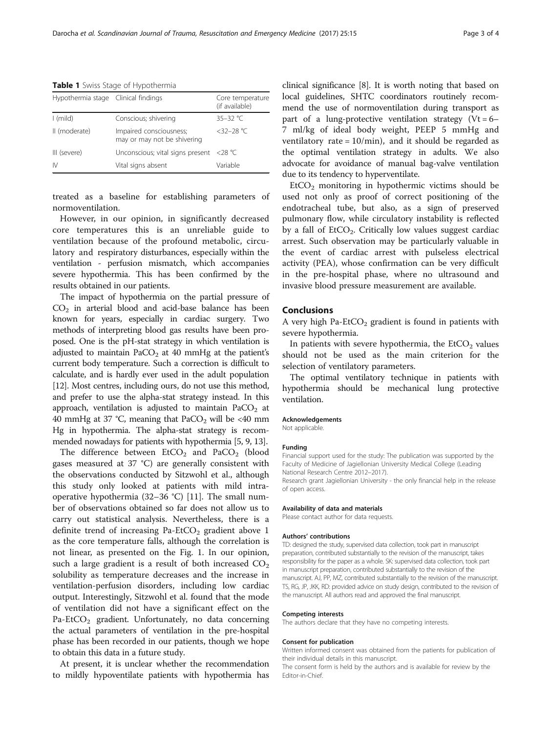<span id="page-2-0"></span>Table 1 Swiss Stage of Hypothermia

| Hypothermia stage Clinical findings |                                                        | Core temperature<br>(if available) |
|-------------------------------------|--------------------------------------------------------|------------------------------------|
| $\mid$ (mild)                       | Conscious; shivering                                   | $35 - 32$ °C                       |
| II (moderate)                       | Impaired consciousness;<br>may or may not be shivering | $<$ 32-28 °C                       |
| III (severe)                        | Unconscious; vital signs present <28 $°C$              |                                    |
| IV.                                 | Vital signs absent                                     | Variable                           |

treated as a baseline for establishing parameters of normoventilation.

However, in our opinion, in significantly decreased core temperatures this is an unreliable guide to ventilation because of the profound metabolic, circulatory and respiratory disturbances, especially within the ventilation - perfusion mismatch, which accompanies severe hypothermia. This has been confirmed by the results obtained in our patients.

The impact of hypothermia on the partial pressure of  $CO<sub>2</sub>$  in arterial blood and acid-base balance has been known for years, especially in cardiac surgery. Two methods of interpreting blood gas results have been proposed. One is the pH-stat strategy in which ventilation is adjusted to maintain  $PaCO<sub>2</sub>$  at 40 mmHg at the patient's current body temperature. Such a correction is difficult to calculate, and is hardly ever used in the adult population [[12](#page-3-0)]. Most centres, including ours, do not use this method, and prefer to use the alpha-stat strategy instead. In this approach, ventilation is adjusted to maintain  $PaCO<sub>2</sub>$  at 40 mmHg at 37 °C, meaning that  $PaCO<sub>2</sub>$  will be <40 mm Hg in hypothermia. The alpha-stat strategy is recommended nowadays for patients with hypothermia [[5](#page-3-0), [9, 13\]](#page-3-0).

The difference between  $EtCO<sub>2</sub>$  and  $PaCO<sub>2</sub>$  (blood gases measured at 37 °C) are generally consistent with the observations conducted by Sitzwohl et al., although this study only looked at patients with mild intraoperative hypothermia (32–36 °C) [[11](#page-3-0)]. The small number of observations obtained so far does not allow us to carry out statistical analysis. Nevertheless, there is a definite trend of increasing Pa-EtCO<sub>2</sub> gradient above 1 as the core temperature falls, although the correlation is not linear, as presented on the Fig. [1](#page-1-0). In our opinion, such a large gradient is a result of both increased  $CO<sub>2</sub>$ solubility as temperature decreases and the increase in ventilation-perfusion disorders, including low cardiac output. Interestingly, Sitzwohl et al. found that the mode of ventilation did not have a significant effect on the Pa-EtCO<sub>2</sub> gradient. Unfortunately, no data concerning the actual parameters of ventilation in the pre-hospital phase has been recorded in our patients, though we hope to obtain this data in a future study.

At present, it is unclear whether the recommendation to mildly hypoventilate patients with hypothermia has clinical significance [\[8](#page-3-0)]. It is worth noting that based on local guidelines, SHTC coordinators routinely recommend the use of normoventilation during transport as part of a lung-protective ventilation strategy (Vt =  $6-$ 7 ml/kg of ideal body weight, PEEP 5 mmHg and ventilatory rate =  $10/min$ , and it should be regarded as the optimal ventilation strategy in adults. We also advocate for avoidance of manual bag-valve ventilation due to its tendency to hyperventilate.

 $EtCO<sub>2</sub>$  monitoring in hypothermic victims should be used not only as proof of correct positioning of the endotracheal tube, but also, as a sign of preserved pulmonary flow, while circulatory instability is reflected by a fall of  $ECO<sub>2</sub>$ . Critically low values suggest cardiac arrest. Such observation may be particularly valuable in the event of cardiac arrest with pulseless electrical activity (PEA), whose confirmation can be very difficult in the pre-hospital phase, where no ultrasound and invasive blood pressure measurement are available.

## Conclusions

A very high Pa-EtCO<sub>2</sub> gradient is found in patients with severe hypothermia.

In patients with severe hypothermia, the  $EtCO<sub>2</sub>$  values should not be used as the main criterion for the selection of ventilatory parameters.

The optimal ventilatory technique in patients with hypothermia should be mechanical lung protective ventilation.

#### Acknowledgements

Not applicable.

#### Funding

Financial support used for the study: The publication was supported by the Faculty of Medicine of Jagiellonian University Medical College (Leading National Research Centre 2012–2017).

Research grant Jagiellonian University - the only financial help in the release of open access.

#### Availability of data and materials

Please contact author for data requests.

## Authors' contributions

TD: designed the study, supervised data collection, took part in manuscript preparation, contributed substantially to the revision of the manuscript, takes responsibility for the paper as a whole. SK: supervised data collection, took part in manuscript preparation, contributed substantially to the revision of the manuscript. AJ, PP, MZ, contributed substantially to the revision of the manuscript. TS, RG, JP, JKK, RD: provided advice on study design, contributed to the revision of the manuscript. All authors read and approved the final manuscript.

#### Competing interests

The authors declare that they have no competing interests.

#### Consent for publication

Written informed consent was obtained from the patients for publication of their individual details in this manuscript.

The consent form is held by the authors and is available for review by the Editor-in-Chief.